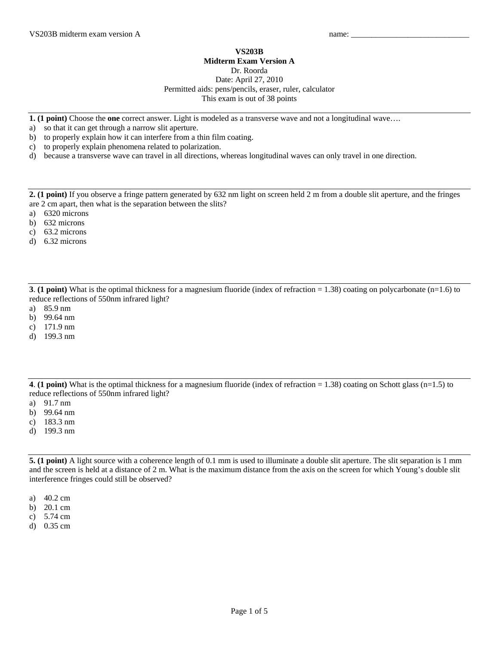## **VS203B**

## **Midterm Exam Version A**

Dr. Roorda

Date: April 27, 2010 Permitted aids: pens/pencils, eraser, ruler, calculator This exam is out of 38 points

**1. (1 point)** Choose the **one** correct answer. Light is modeled as a transverse wave and not a longitudinal wave….

- a) so that it can get through a narrow slit aperture.
- b) to properly explain how it can interfere from a thin film coating.
- c) to properly explain phenomena related to polarization.
- d) because a transverse wave can travel in all directions, whereas longitudinal waves can only travel in one direction.

**2. (1 point)** If you observe a fringe pattern generated by 632 nm light on screen held 2 m from a double slit aperture, and the fringes are 2 cm apart, then what is the separation between the slits?

- a) 6320 microns
- b) 632 microns
- c) 63.2 microns
- d) 6.32 microns

**3. (1 point)** What is the optimal thickness for a magnesium fluoride (index of refraction = 1.38) coating on polycarbonate (n=1.6) to reduce reflections of 550nm infrared light?

- a) 85.9 nm
- b) 99.64 nm
- c) 171.9 nm
- d) 199.3 nm

**4**. **(1 point)** What is the optimal thickness for a magnesium fluoride (index of refraction = 1.38) coating on Schott glass (n=1.5) to reduce reflections of 550nm infrared light?

- a) 91.7 nm
- b) 99.64 nm
- c) 183.3 nm
- d) 199.3 nm

**5. (1 point)** A light source with a coherence length of 0.1 mm is used to illuminate a double slit aperture. The slit separation is 1 mm and the screen is held at a distance of 2 m. What is the maximum distance from the axis on the screen for which Young's double slit interference fringes could still be observed?

- a) 40.2 cm
- b) 20.1 cm
- c) 5.74 cm
- d) 0.35 cm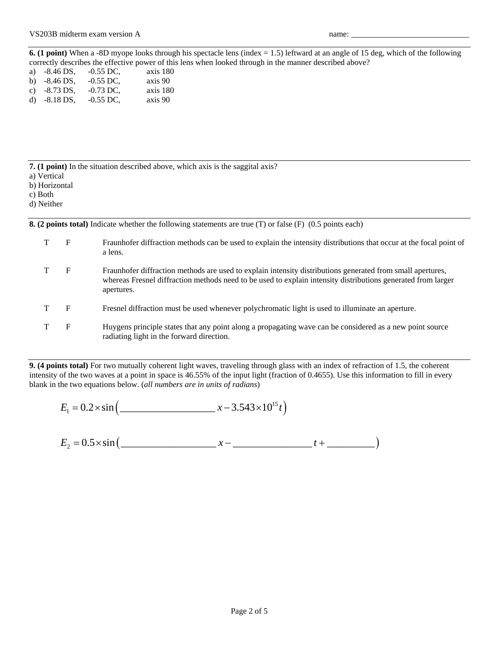**6. (1 point)** When a -8D myope looks through his spectacle lens (index = 1.5) leftward at an angle of 15 deg, which of the following correctly describes the effective power of this lens when looked through in the manner described above?

| a) $-8.46$ DS, | $-0.55$ DC. | axis 180 |
|----------------|-------------|----------|
| b) $-8.46$ DS, | $-0.55$ DC, | axis 90  |
| c) $-8.73$ DS. | $-0.73$ DC. | axis 180 |
| d) $-8.18$ DS, | $-0.55$ DC. | axis 90  |

**7. (1 point)** In the situation described above, which axis is the saggital axis?

- a) Vertical
- b) Horizontal
- c) Both

d) Neither

**8. (2 points total)** Indicate whether the following statements are true (T) or false (F) (0.5 points each)

| F | Fraunhofer diffraction methods can be used to explain the intensity distributions that occur at the focal point of<br>a lens.                                                                                                            |
|---|------------------------------------------------------------------------------------------------------------------------------------------------------------------------------------------------------------------------------------------|
| F | Fraunhofer diffraction methods are used to explain intensity distributions generated from small apertures,<br>whereas Fresnel diffraction methods need to be used to explain intensity distributions generated from larger<br>apertures. |
| F | Freshel diffraction must be used whenever polychromatic light is used to illuminate an aperture.                                                                                                                                         |
| F | Huygens principle states that any point along a propagating wave can be considered as a new point source<br>radiating light in the forward direction.                                                                                    |

**9. (4 points total)** For two mutually coherent light waves, traveling through glass with an index of refraction of 1.5, the coherent intensity of the two waves at a point in space is 46.55% of the input light (fraction of 0.4655). Use this information to fill in every blank in the two equations below. (*all numbers are in units of radians*)

$$
E_1 = 0.2 \times \sin \left( \frac{2.543 \times 10^{15} t}{x - 3.543 \times 10^{15} t} \right)
$$

 $E_2 = 0.5 \times \sin \left( \frac{z}{z} \right)$   $x - \frac{z}{z}$  +  $\frac{z}{z}$  +  $\frac{z}{z}$  +  $\frac{z}{z}$  +  $\frac{z}{z}$  +  $\frac{z}{z}$  +  $\frac{z}{z}$  +  $\frac{z}{z}$  +  $\frac{z}{z}$  +  $\frac{z}{z}$  +  $\frac{z}{z}$  +  $\frac{z}{z}$  +  $\frac{z}{z}$  +  $\frac{z}{z}$  +  $\frac{z}{z}$  +  $\frac{z}{z}$  +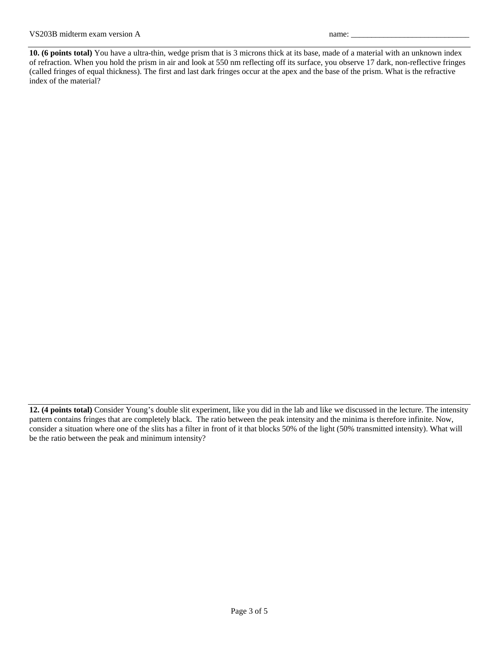**10. (6 points total)** You have a ultra-thin, wedge prism that is 3 microns thick at its base, made of a material with an unknown index of refraction. When you hold the prism in air and look at 550 nm reflecting off its surface, you observe 17 dark, non-reflective fringes (called fringes of equal thickness). The first and last dark fringes occur at the apex and the base of the prism. What is the refractive index of the material?

**<sup>12. (4</sup> points total)** Consider Young's double slit experiment, like you did in the lab and like we discussed in the lecture. The intensity pattern contains fringes that are completely black. The ratio between the peak intensity and the minima is therefore infinite. Now, consider a situation where one of the slits has a filter in front of it that blocks 50% of the light (50% transmitted intensity). What will be the ratio between the peak and minimum intensity?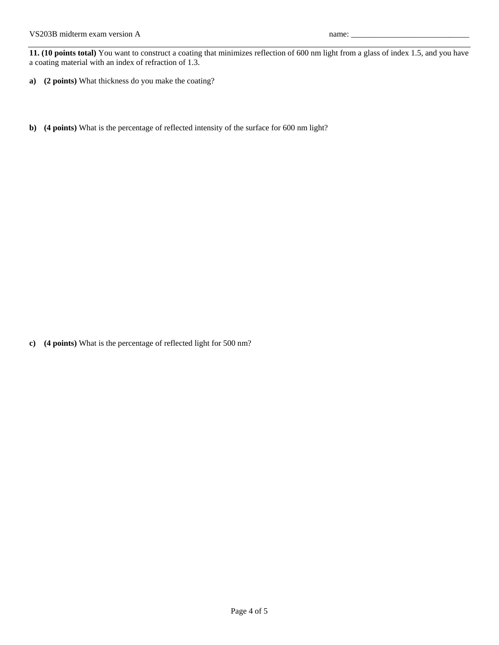**11. (10 points total)** You want to construct a coating that minimizes reflection of 600 nm light from a glass of index 1.5, and you have a coating material with an index of refraction of 1.3.

- **a) (2 points)** What thickness do you make the coating?
- **b) (4 points)** What is the percentage of reflected intensity of the surface for 600 nm light?

**c) (4 points)** What is the percentage of reflected light for 500 nm?